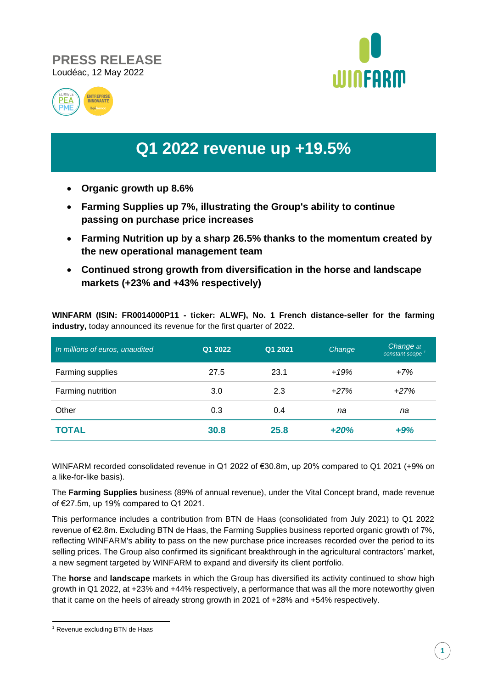





## **Q1 2022 revenue up +19.5%**

- **Organic growth up 8.6%**
- **Farming Supplies up 7%, illustrating the Group's ability to continue passing on purchase price increases**
- **Farming Nutrition up by a sharp 26.5% thanks to the momentum created by the new operational management team**
- **Continued strong growth from diversification in the horse and landscape markets (+23% and +43% respectively)**

**WINFARM (ISIN: FR0014000P11 - ticker: ALWF), No. 1 French distance-seller for the farming industry,** today announced its revenue for the first quarter of 2022.

| In millions of euros, unaudited | Q1 2022 | Q1 2021 | Change | Change at<br>constant scope <sup>1</sup> |
|---------------------------------|---------|---------|--------|------------------------------------------|
| Farming supplies                | 27.5    | 23.1    | $+19%$ | $+7%$                                    |
| Farming nutrition               | 3.0     | 2.3     | $+27%$ | $+27%$                                   |
| Other                           | 0.3     | 0.4     | na     | na                                       |
| <b>TOTAL</b>                    | 30.8    | 25.8    | $+20%$ | $+9%$                                    |

WINFARM recorded consolidated revenue in Q1 2022 of €30.8m, up 20% compared to Q1 2021 (+9% on a like-for-like basis).

The **Farming Supplies** business (89% of annual revenue), under the Vital Concept brand, made revenue of €27.5m, up 19% compared to Q1 2021.

This performance includes a contribution from BTN de Haas (consolidated from July 2021) to Q1 2022 revenue of €2.8m. Excluding BTN de Haas, the Farming Supplies business reported organic growth of 7%, reflecting WINFARM's ability to pass on the new purchase price increases recorded over the period to its selling prices. The Group also confirmed its significant breakthrough in the agricultural contractors' market, a new segment targeted by WINFARM to expand and diversify its client portfolio.

The **horse** and **landscape** markets in which the Group has diversified its activity continued to show high growth in Q1 2022, at +23% and +44% respectively, a performance that was all the more noteworthy given that it came on the heels of already strong growth in 2021 of +28% and +54% respectively.

<sup>&</sup>lt;sup>1</sup> Revenue excluding BTN de Haas